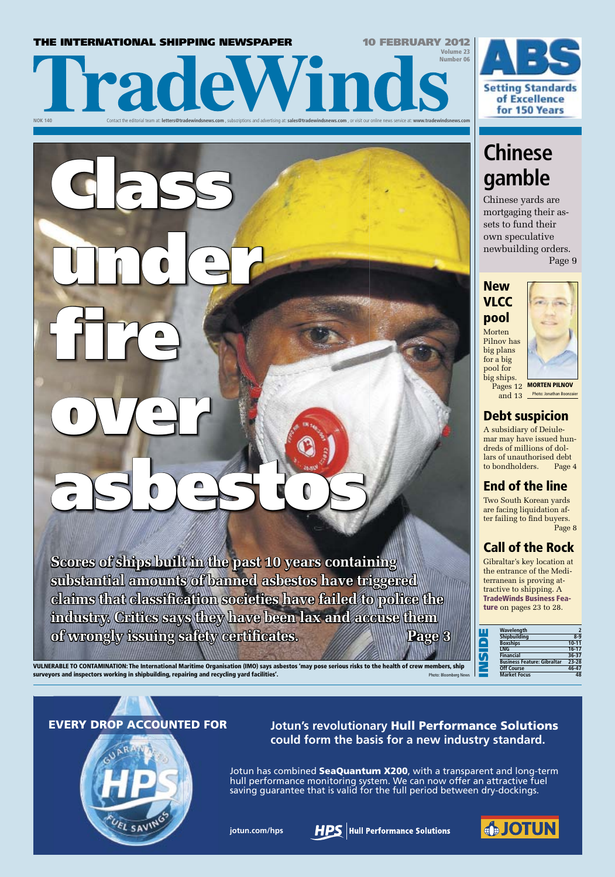## **THE INTERNATIONAL SHIPPING NEWSPAPER 10 FEBRUARY 2012**

Class

under

fire

over

Volume 23 Number 06 **NOK 140** Contact the editorial team at: **letters@tradewindsnews.com** , subscriptions and advertising at: **sales@tradewindsnews.com** , or visit our online news service at: **www.tradewindsnews.com**



# **Chinese gamble**

Chinese yards are mortgaging their assets to fund their own speculative newbuilding orders.

Page 9



**Pages 12 MORTEN PILNOV** 

## Debt suspicion

and 13 Photo: Jonathan Boonzaier

A subsidiary of Deiulemar may have issued hundreds of millions of dollars of unauthorised debt to bondholders. Page 4

## End of the line

are facing liquidation after failing to find buyers. Page 8

## Call of the Rock

Gibraltar's key location at the entrance of the Mediterranean is proving attractive to shipping. A TradeWinds Business Feature on pages 23 to 28.

| Wavelength                         |           |
|------------------------------------|-----------|
| <b>Shipbuilding</b>                | $8-9$     |
| <b>Boxships</b>                    | $10 - 11$ |
| <b>LNG</b>                         | $16-17$   |
| <b>Financial</b>                   | $36 - 37$ |
| <b>Business Feature: Gibraltar</b> | $23 - 28$ |
| <b>Off Course</b>                  | $46 - 47$ |
| <b>Market Focus</b>                |           |

VULNERABLE TO CONTAMINATION: The International Maritime Organisation (IMO) says asbestos 'may pose serious risks to the health of crew members, ship surveyors and inspectors working in shipbuilding, repairing and recycling yard facilities'. Photo: Bloomberg Ne

asbestos

**Scores of ships built in the past 10 years containing** 

**substantial amounts of banned asbestos have triggered** 

**claims that classifi cation societies have failed to police the** 



EVERY DROP ACCOUNTED FOR **Jotun's revolutionary** Hull Performance Solutions **could form the basis for a new industry standard.**

> Jotun has combined SeaQuantum X200, with a transparent and long-term hull performance monitoring system. We can now offer an attractive fuel saving guarantee that is valid for the full period between dry-dockings.

**jotun.com/hps**





Two South Korean yards